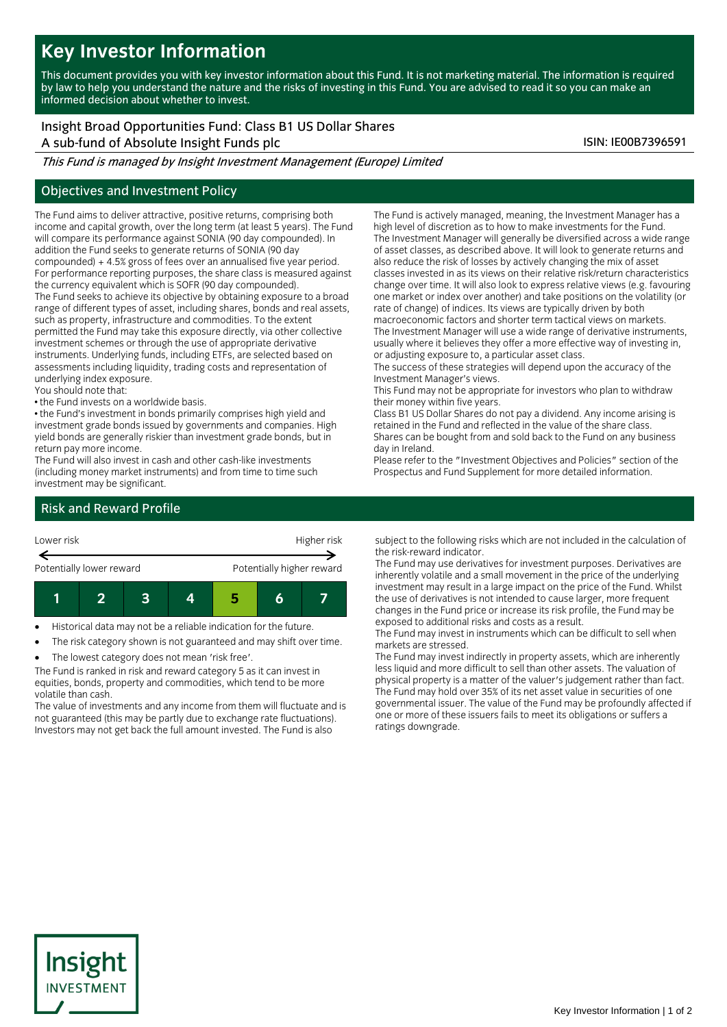# **Key Investor Information**

This document provides you with key investor information about this Fund. It is not marketing material. The information is required by law to help you understand the nature and the risks of investing in this Fund. You are advised to read it so you can make an informed decision about whether to invest.

## Insight Broad Opportunities Fund: Class B1 US Dollar Shares

A sub-fund of Absolute Insight Funds plc ISIN: IE00B7396591

This Fund is managed by Insight Investment Management (Europe) Limited

### Objectives and Investment Policy

The Fund aims to deliver attractive, positive returns, comprising both income and capital growth, over the long term (at least 5 years). The Fund will compare its performance against SONIA (90 day compounded). In addition the Fund seeks to generate returns of SONIA (90 day compounded) + 4.5% gross of fees over an annualised five year period. For performance reporting purposes, the share class is measured against the currency equivalent which is SOFR (90 day compounded). The Fund seeks to achieve its objective by obtaining exposure to a broad range of different types of asset, including shares, bonds and real assets, such as property, infrastructure and commodities. To the extent permitted the Fund may take this exposure directly, via other collective investment schemes or through the use of appropriate derivative instruments. Underlying funds, including ETFs, are selected based on assessments including liquidity, trading costs and representation of underlying index exposure.

You should note that:

• the Fund invests on a worldwide basis.

• the Fund's investment in bonds primarily comprises high yield and investment grade bonds issued by governments and companies. High yield bonds are generally riskier than investment grade bonds, but in return pay more income.

The Fund will also invest in cash and other cash-like investments (including money market instruments) and from time to time such investment may be significant.

The Fund is actively managed, meaning, the Investment Manager has a high level of discretion as to how to make investments for the Fund. The Investment Manager will generally be diversified across a wide range of asset classes, as described above. It will look to generate returns and also reduce the risk of losses by actively changing the mix of asset classes invested in as its views on their relative risk/return characteristics change over time. It will also look to express relative views (e.g. favouring one market or index over another) and take positions on the volatility (or rate of change) of indices. Its views are typically driven by both macroeconomic factors and shorter term tactical views on markets. The Investment Manager will use a wide range of derivative instruments,

usually where it believes they offer a more effective way of investing in, or adjusting exposure to, a particular asset class.

The success of these strategies will depend upon the accuracy of the Investment Manager's views.

This Fund may not be appropriate for investors who plan to withdraw their money within five years.

Class B1 US Dollar Shares do not pay a dividend. Any income arising is retained in the Fund and reflected in the value of the share class. Shares can be bought from and sold back to the Fund on any business day in Ireland.

Please refer to the "Investment Objectives and Policies" section of the Prospectus and Fund Supplement for more detailed information.

## Risk and Reward Profile



Historical data may not be a reliable indication for the future.

The risk category shown is not guaranteed and may shift over time.

The lowest category does not mean 'risk free'.

The Fund is ranked in risk and reward category 5 as it can invest in equities, bonds, property and commodities, which tend to be more volatile than cash.

The value of investments and any income from them will fluctuate and is not guaranteed (this may be partly due to exchange rate fluctuations). Investors may not get back the full amount invested. The Fund is also

subject to the following risks which are not included in the calculation of the risk-reward indicator.

The Fund may use derivatives for investment purposes. Derivatives are inherently volatile and a small movement in the price of the underlying investment may result in a large impact on the price of the Fund. Whilst the use of derivatives is not intended to cause larger, more frequent changes in the Fund price or increase its risk profile, the Fund may be exposed to additional risks and costs as a result.

The Fund may invest in instruments which can be difficult to sell when markets are stressed.

The Fund may invest indirectly in property assets, which are inherently less liquid and more difficult to sell than other assets. The valuation of physical property is a matter of the valuer's judgement rather than fact. The Fund may hold over 35% of its net asset value in securities of one governmental issuer. The value of the Fund may be profoundly affected if one or more of these issuers fails to meet its obligations or suffers a ratings downgrade.